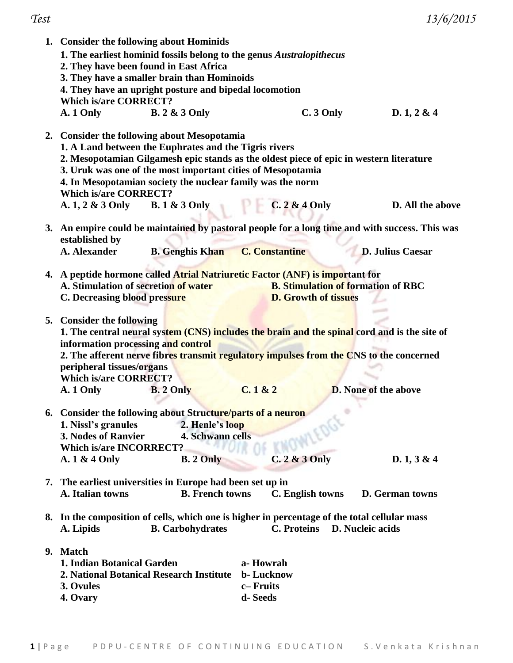|                                                                                                | 1. Consider the following about Hominids                             |                                           |                             |  |  |  |  |
|------------------------------------------------------------------------------------------------|----------------------------------------------------------------------|-------------------------------------------|-----------------------------|--|--|--|--|
|                                                                                                | 1. The earliest hominid fossils belong to the genus Australopithecus |                                           |                             |  |  |  |  |
|                                                                                                | 2. They have been found in East Africa                               |                                           |                             |  |  |  |  |
|                                                                                                | 3. They have a smaller brain than Hominoids                          |                                           |                             |  |  |  |  |
| 4. They have an upright posture and bipedal locomotion                                         |                                                                      |                                           |                             |  |  |  |  |
| <b>Which is/are CORRECT?</b>                                                                   |                                                                      |                                           |                             |  |  |  |  |
| <b>B.</b> 2 & 3 Only<br>A. 1 Only                                                              |                                                                      | $C.3$ Only                                | D.1, 2 & 4                  |  |  |  |  |
|                                                                                                |                                                                      |                                           |                             |  |  |  |  |
| 2. Consider the following about Mesopotamia                                                    |                                                                      |                                           |                             |  |  |  |  |
| 1. A Land between the Euphrates and the Tigris rivers                                          |                                                                      |                                           |                             |  |  |  |  |
| 2. Mesopotamian Gilgamesh epic stands as the oldest piece of epic in western literature        |                                                                      |                                           |                             |  |  |  |  |
| 3. Uruk was one of the most important cities of Mesopotamia                                    |                                                                      |                                           |                             |  |  |  |  |
| 4. In Mesopotamian society the nuclear family was the norm                                     |                                                                      |                                           |                             |  |  |  |  |
| <b>Which is/are CORRECT?</b>                                                                   |                                                                      |                                           |                             |  |  |  |  |
| A. 1, 2 & 3 Only B. 1 & 3 Only                                                                 |                                                                      | C.2 & 4 Only                              | D. All the above            |  |  |  |  |
|                                                                                                |                                                                      |                                           |                             |  |  |  |  |
| 3. An empire could be maintained by pastoral people for a long time and with success. This was |                                                                      |                                           |                             |  |  |  |  |
| established by                                                                                 |                                                                      |                                           |                             |  |  |  |  |
| A. Alexander<br><b>B.</b> Genghis Khan                                                         | <b>C. Constantine</b>                                                |                                           | <b>D. Julius Caesar</b>     |  |  |  |  |
|                                                                                                |                                                                      |                                           |                             |  |  |  |  |
| 4. A peptide hormone called Atrial Natriuretic Factor (ANF) is important for                   |                                                                      |                                           |                             |  |  |  |  |
| A. Stimulation of secretion of water                                                           |                                                                      | <b>B. Stimulation of formation of RBC</b> |                             |  |  |  |  |
| C. Decreasing blood pressure                                                                   |                                                                      | <b>D. Growth of tissues</b>               |                             |  |  |  |  |
|                                                                                                |                                                                      |                                           |                             |  |  |  |  |
| 5. Consider the following                                                                      |                                                                      |                                           |                             |  |  |  |  |
| 1. The central neural system (CNS) includes the brain and the spinal cord and is the site of   |                                                                      |                                           |                             |  |  |  |  |
| information processing and control                                                             |                                                                      |                                           |                             |  |  |  |  |
| 2. The afferent nerve fibres transmit regulatory impulses from the CNS to the concerned        |                                                                      |                                           |                             |  |  |  |  |
| peripheral tissues/organs                                                                      |                                                                      |                                           |                             |  |  |  |  |
| <b>Which is/are CORRECT?</b>                                                                   |                                                                      |                                           |                             |  |  |  |  |
| A. 1 Only<br><b>B.</b> 2 Only                                                                  | C.1 & 2                                                              |                                           | <b>D.</b> None of the above |  |  |  |  |
|                                                                                                |                                                                      |                                           |                             |  |  |  |  |
| 6. Consider the following about Structure/parts of a neuron                                    |                                                                      |                                           |                             |  |  |  |  |
| 1. Nissl's granules                                                                            | 2. Henle's loop                                                      |                                           |                             |  |  |  |  |
| 3. Nodes of Ranvier                                                                            | <b>4. Schwann cells</b>                                              |                                           |                             |  |  |  |  |
| <b>Which is/are INCORRECT?</b>                                                                 |                                                                      | <b>IOWLEDGE</b>                           |                             |  |  |  |  |
| A. $1 \& 4$ Only<br><b>B.</b> 2 Only                                                           |                                                                      | $C.2 & 3$ Only                            | D.1, 3 & 4                  |  |  |  |  |
|                                                                                                |                                                                      |                                           |                             |  |  |  |  |
| 7. The earliest universities in Europe had been set up in                                      |                                                                      |                                           |                             |  |  |  |  |
| A. Italian towns                                                                               | <b>B.</b> French towns                                               | C. English towns                          | <b>D.</b> German towns      |  |  |  |  |
|                                                                                                |                                                                      |                                           |                             |  |  |  |  |
| 8. In the composition of cells, which one is higher in percentage of the total cellular mass   |                                                                      |                                           |                             |  |  |  |  |
| <b>B.</b> Carbohydrates<br>A. Lipids                                                           |                                                                      | <b>C.</b> Proteins                        | D. Nucleic acids            |  |  |  |  |
|                                                                                                |                                                                      |                                           |                             |  |  |  |  |
| 9. Match                                                                                       |                                                                      |                                           |                             |  |  |  |  |
| 1. Indian Botanical Garden                                                                     | a-Howrah                                                             |                                           |                             |  |  |  |  |
| 2. National Botanical Research Institute                                                       | b-Lucknow                                                            |                                           |                             |  |  |  |  |
| 3. Ovules                                                                                      | c-Fruits                                                             |                                           |                             |  |  |  |  |
| 4. Ovary                                                                                       | d-Seeds                                                              |                                           |                             |  |  |  |  |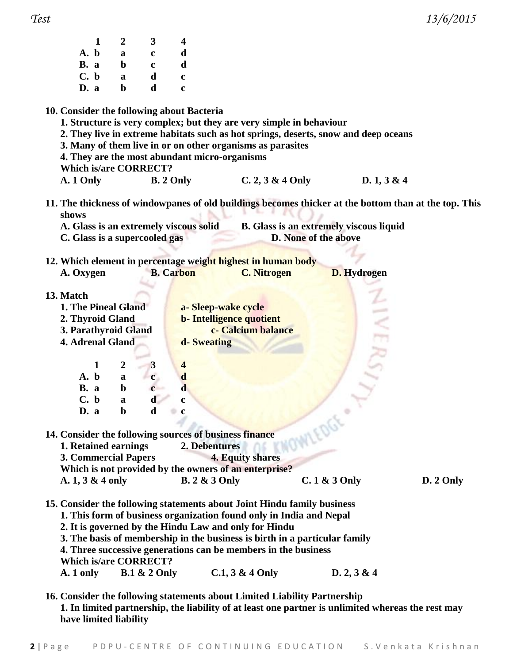*Test 13/6/2015*

| Ω<br>۱ |
|--------|
|--------|

| 1                                                                                                                                       | $\boldsymbol{2}$ | 3                       | $\overline{\mathbf{4}}$ |                                                                                                                                                                                                                                                                                                                                                         |                                         |                    |           |
|-----------------------------------------------------------------------------------------------------------------------------------------|------------------|-------------------------|-------------------------|---------------------------------------------------------------------------------------------------------------------------------------------------------------------------------------------------------------------------------------------------------------------------------------------------------------------------------------------------------|-----------------------------------------|--------------------|-----------|
| A. b                                                                                                                                    | $\mathbf a$      | $\mathbf c$             | d                       |                                                                                                                                                                                                                                                                                                                                                         |                                         |                    |           |
| B. a                                                                                                                                    | $\mathbf b$      | $\mathbf c$             | d                       |                                                                                                                                                                                                                                                                                                                                                         |                                         |                    |           |
| C. b                                                                                                                                    | $\mathbf a$      | $\mathbf d$             | $\mathbf c$             |                                                                                                                                                                                                                                                                                                                                                         |                                         |                    |           |
| D. a                                                                                                                                    | $\mathbf b$      | d                       | $\mathbf c$             |                                                                                                                                                                                                                                                                                                                                                         |                                         |                    |           |
| 10. Consider the following about Bacteria<br>4. They are the most abundant micro-organisms<br><b>Which is/are CORRECT?</b><br>A. 1 Only |                  |                         | <b>B.</b> 2 Only        | 1. Structure is very complex; but they are very simple in behaviour<br>2. They live in extreme habitats such as hot springs, deserts, snow and deep oceans<br>3. Many of them live in or on other organisms as parasites<br>$C. 2, 3 & 4$ Only<br>11. The thickness of windowpanes of old buildings becomes thicker at the bottom than at the top. This |                                         | D.1, 3 & 4         |           |
| shows                                                                                                                                   |                  |                         |                         |                                                                                                                                                                                                                                                                                                                                                         |                                         |                    |           |
| A. Glass is an extremely viscous solid                                                                                                  |                  |                         |                         |                                                                                                                                                                                                                                                                                                                                                         | B. Glass is an extremely viscous liquid |                    |           |
| C. Glass is a supercooled gas                                                                                                           |                  |                         |                         |                                                                                                                                                                                                                                                                                                                                                         | D. None of the above                    |                    |           |
|                                                                                                                                         |                  |                         |                         |                                                                                                                                                                                                                                                                                                                                                         |                                         |                    |           |
|                                                                                                                                         |                  |                         |                         | 12. Which element in percentage weight highest in human body                                                                                                                                                                                                                                                                                            |                                         |                    |           |
| A. Oxygen                                                                                                                               |                  |                         | <b>B.</b> Carbon        | <b>C. Nitrogen</b>                                                                                                                                                                                                                                                                                                                                      |                                         | <b>D.</b> Hydrogen |           |
|                                                                                                                                         |                  |                         |                         |                                                                                                                                                                                                                                                                                                                                                         |                                         |                    |           |
| 13. Match                                                                                                                               |                  |                         |                         |                                                                                                                                                                                                                                                                                                                                                         |                                         |                    |           |
| 1. The Pineal Gland                                                                                                                     |                  |                         |                         | a-Sleep-wake cycle                                                                                                                                                                                                                                                                                                                                      |                                         |                    |           |
| 2. Thyroid Gland                                                                                                                        |                  |                         |                         | <b>b-</b> Intelligence quotient                                                                                                                                                                                                                                                                                                                         |                                         |                    |           |
| 3. Parathyroid Gland                                                                                                                    |                  |                         |                         | c- Calcium balance                                                                                                                                                                                                                                                                                                                                      |                                         |                    |           |
| <b>4. Adrenal Gland</b>                                                                                                                 |                  |                         | d-Sweating              |                                                                                                                                                                                                                                                                                                                                                         |                                         |                    |           |
|                                                                                                                                         |                  |                         |                         |                                                                                                                                                                                                                                                                                                                                                         |                                         |                    |           |
| 1                                                                                                                                       | $\boldsymbol{2}$ | 3                       | $\overline{\mathbf{4}}$ |                                                                                                                                                                                                                                                                                                                                                         |                                         |                    |           |
| A. b                                                                                                                                    | $\mathbf a$      | $\mathbf c$             | $\mathbf d$             |                                                                                                                                                                                                                                                                                                                                                         |                                         |                    |           |
| B. a                                                                                                                                    | $\mathbf b$      |                         | $\mathbf d$             |                                                                                                                                                                                                                                                                                                                                                         |                                         |                    |           |
| C. b                                                                                                                                    | $\mathbf a$      |                         | $\mathbf c$             |                                                                                                                                                                                                                                                                                                                                                         |                                         |                    |           |
| D. a                                                                                                                                    | $\mathbf{b}$     | $\mathbf{d}$            |                         |                                                                                                                                                                                                                                                                                                                                                         |                                         |                    |           |
|                                                                                                                                         |                  |                         |                         |                                                                                                                                                                                                                                                                                                                                                         |                                         |                    |           |
| 14. Consider the following sources of business finance                                                                                  |                  |                         |                         |                                                                                                                                                                                                                                                                                                                                                         | WOWLEDGE                                |                    |           |
| 1. Retained earnings                                                                                                                    |                  |                         | 2. Debentures           |                                                                                                                                                                                                                                                                                                                                                         |                                         |                    |           |
| <b>3. Commercial Papers</b>                                                                                                             |                  |                         |                         | 4. Equity shares                                                                                                                                                                                                                                                                                                                                        |                                         |                    |           |
|                                                                                                                                         |                  |                         |                         | Which is not provided by the owners of an enterprise?                                                                                                                                                                                                                                                                                                   |                                         |                    |           |
| A. 1, 3 & 4 only                                                                                                                        |                  |                         | <b>B.</b> 2 & 3 Only    |                                                                                                                                                                                                                                                                                                                                                         | $C.1$ & $3$ Only                        |                    | D. 2 Only |
| <b>Which is/are CORRECT?</b>                                                                                                            |                  |                         |                         | 15. Consider the following statements about Joint Hindu family business<br>1. This form of business organization found only in India and Nepal<br>2. It is governed by the Hindu Law and only for Hindu<br>3. The basis of membership in the business is birth in a particular family<br>4. Three successive generations can be members in the business |                                         |                    |           |
| A. 1 only                                                                                                                               |                  | <b>B.1 &amp; 2 Only</b> |                         | $C.1, 3 & 4$ Only                                                                                                                                                                                                                                                                                                                                       |                                         | D. 2, 3 & 4        |           |
|                                                                                                                                         |                  |                         |                         | 16. Consider the following statements about Limited Liability Partnership                                                                                                                                                                                                                                                                               |                                         |                    |           |

**1. In limited partnership, the liability of at least one partner is unlimited whereas the rest may have limited liability**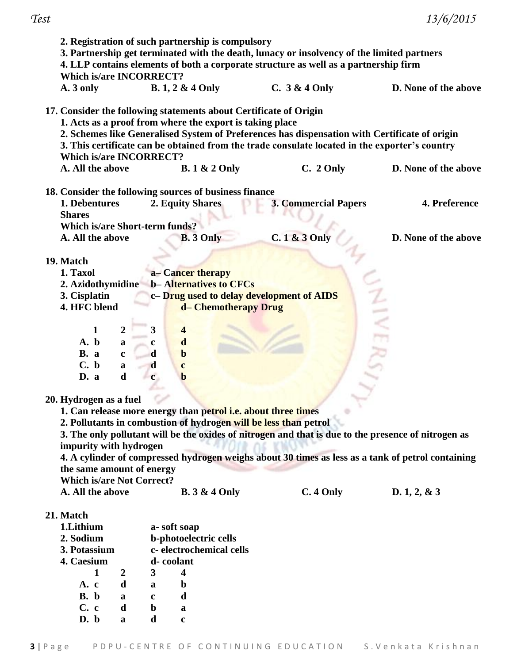| 2. Registration of such partnership is compulsory<br>3. Partnership get terminated with the death, lunacy or insolvency of the limited partners<br>4. LLP contains elements of both a corporate structure as well as a partnership firm<br><b>Which is/are INCORRECT?</b>                                                                                                                                                                                                                                                                                                                                                                                                                                                                                                                                                                                                                              |                                                                                                                                                                                              |                                                                                                                                                                                                 |                      |  |  |  |
|--------------------------------------------------------------------------------------------------------------------------------------------------------------------------------------------------------------------------------------------------------------------------------------------------------------------------------------------------------------------------------------------------------------------------------------------------------------------------------------------------------------------------------------------------------------------------------------------------------------------------------------------------------------------------------------------------------------------------------------------------------------------------------------------------------------------------------------------------------------------------------------------------------|----------------------------------------------------------------------------------------------------------------------------------------------------------------------------------------------|-------------------------------------------------------------------------------------------------------------------------------------------------------------------------------------------------|----------------------|--|--|--|
| A. 3 only                                                                                                                                                                                                                                                                                                                                                                                                                                                                                                                                                                                                                                                                                                                                                                                                                                                                                              | <b>B.</b> 1, 2 & 4 Only                                                                                                                                                                      | C. $3 & 4$ Only                                                                                                                                                                                 | D. None of the above |  |  |  |
| <b>Which is/are INCORRECT?</b><br>A. All the above                                                                                                                                                                                                                                                                                                                                                                                                                                                                                                                                                                                                                                                                                                                                                                                                                                                     | 17. Consider the following statements about Certificate of Origin<br>1. Acts as a proof from where the export is taking place                                                                | 2. Schemes like Generalised System of Preferences has dispensation with Certificate of origin<br>3. This certificate can be obtained from the trade consulate located in the exporter's country | D. None of the above |  |  |  |
|                                                                                                                                                                                                                                                                                                                                                                                                                                                                                                                                                                                                                                                                                                                                                                                                                                                                                                        | <b>B.</b> 1 & 2 Only                                                                                                                                                                         | C. 2 Only                                                                                                                                                                                       |                      |  |  |  |
| 1. Debentures<br><b>Shares</b><br><b>Which is/are Short-term funds?</b>                                                                                                                                                                                                                                                                                                                                                                                                                                                                                                                                                                                                                                                                                                                                                                                                                                | 18. Consider the following sources of business finance<br>2. Equity Shares                                                                                                                   | <b>3. Commercial Papers</b>                                                                                                                                                                     | 4. Preference        |  |  |  |
| A. All the above                                                                                                                                                                                                                                                                                                                                                                                                                                                                                                                                                                                                                                                                                                                                                                                                                                                                                       | <b>B.</b> 3 Only                                                                                                                                                                             | $C.1 & 3$ Only                                                                                                                                                                                  | D. None of the above |  |  |  |
| 19. Match<br>a-Cancer therapy<br>1. Taxol<br><b>b-Alternatives to CFCs</b><br>2. Azidothymidine<br>3. Cisplatin<br>c- Drug used to delay development of AIDS<br>4. HFC blend<br>d- Chemotherapy Drug<br>$\overline{\mathbf{3}}$<br>$\overline{2}$<br>$\overline{\mathbf{4}}$<br>1<br>$\mathbf d$<br>A. b<br>a<br>c<br><b>B.</b> a<br>d<br>$\mathbf b$<br>$\mathbf c$<br>C. b<br>$\mathbf d$<br>$\mathbf a$<br>$\mathbf c$<br>d<br>D. a<br>$\mathbf c$<br>$\mathbf b$<br>20. Hydrogen as a fuel<br>1. Can release more energy than petrol i.e. about three times<br>2. Pollutants in combustion of hydrogen will be less than petrol<br>3. The only pollutant will be the oxides of nitrogen and that is due to the presence of nitrogen as<br>impurity with hydrogen<br>4. A cylinder of compressed hydrogen weighs about 30 times as less as a tank of petrol containing<br>the same amount of energy |                                                                                                                                                                                              |                                                                                                                                                                                                 |                      |  |  |  |
| <b>Which is/are Not Correct?</b><br>A. All the above                                                                                                                                                                                                                                                                                                                                                                                                                                                                                                                                                                                                                                                                                                                                                                                                                                                   | <b>B.</b> 3 & 4 Only                                                                                                                                                                         | C. 4 Only                                                                                                                                                                                       | D. 1, 2, & 3         |  |  |  |
| 21. Match<br>1.Lithium<br>2. Sodium<br>3. Potassium<br>4. Caesium<br>$\mathbf{1}$<br>$\boldsymbol{2}$<br>A. c<br>d<br>B. b<br>a<br>C. c<br>d<br>D. b<br>a                                                                                                                                                                                                                                                                                                                                                                                                                                                                                                                                                                                                                                                                                                                                              | a-soft soap<br>b-photoelectric cells<br>c-electrochemical cells<br>d-coolant<br>3<br>$\overline{\mathbf{4}}$<br>$\mathbf b$<br>a<br>d<br>$\mathbf c$<br>$\mathbf b$<br>a<br>d<br>$\mathbf c$ |                                                                                                                                                                                                 |                      |  |  |  |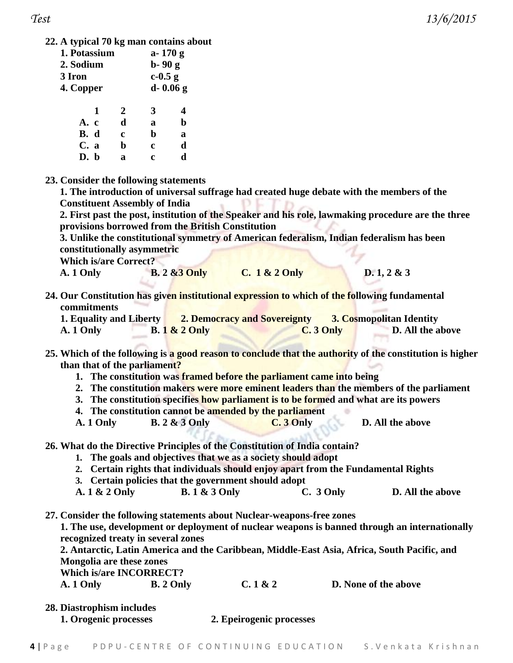*Test 13/6/2015*

**22. A typical 70 kg man contains about** 

| 1. Potassium | $a - 170g$           |   |              |
|--------------|----------------------|---|--------------|
| 2. Sodium    | $b-90g$<br>$c-0.5$ g |   |              |
| 3 Iron       |                      |   |              |
| 4. Copper    |                      |   | $d - 0.06g$  |
| 1            | $\overline{2}$       | 3 | 4            |
| A. c         | d                    | a | h            |
| B. d         | c                    | b | a            |
| C. a         | b                    | c | $\mathbf{r}$ |

**23. Consider the following statements**

**D. b a c d**

**1. The introduction of universal suffrage had created huge debate with the members of the Constituent Assembly of India**

**2. First past the post, institution of the Speaker and his role, lawmaking procedure are the three provisions borrowed from the British Constitution**

**3. Unlike the constitutional symmetry of American federalism, Indian federalism has been constitutionally asymmetric**

**Which is/are Correct?**

| D. 1, 2 & 3 |
|-------------|
|             |

**24. Our Constitution has given institutional expression to which of the following fundamental commitments**

| 1. Equality and Liberty |                | <b>2. Democracy and Sovereignty</b> |            | <b>3. Cosmopolitan Identity</b> |
|-------------------------|----------------|-------------------------------------|------------|---------------------------------|
| A. 1 Only               | $B.1 & 2$ Only |                                     | $C.3$ Only | D. All the above                |

**25. Which of the following is a good reason to conclude that the authority of the constitution is higher than that of the parliament?**

- **1. The constitution was framed before the parliament came into being**
- **2. The constitution makers were more eminent leaders than the members of the parliament**
- **3. The constitution specifies how parliament is to be formed and what are its powers**
- **4. The constitution cannot be amended by the parliament**
- **A. 1 Only B. 2 & 3 Only C. 3 Only D. All the above**

**26. What do the Directive Principles of the Constitution of India contain?**

- **1. The goals and objectives that we as a society should adopt**
- **2. Certain rights that individuals should enjoy apart from the Fundamental Rights**
- **3. Certain policies that the government should adopt**
- **A. 1 & 2 Only B. 1 & 3 Only C. 3 Only D. All the above**

**27. Consider the following statements about Nuclear-weapons-free zones** 

**1. The use, development or deployment of nuclear weapons is banned through an internationally recognized treaty in several zones**

**2. Antarctic, Latin America and the Caribbean, Middle-East Asia, Africa, South Pacific, and Mongolia are these zones**

**Which is/are INCORRECT?**

| A. 1 Only | B. 2 Only | C.1 & 2 | <b>D.</b> None of the above |
|-----------|-----------|---------|-----------------------------|
|-----------|-----------|---------|-----------------------------|

- **28. Diastrophism includes**
	- **1. Orogenic processes 2. Epeirogenic processes**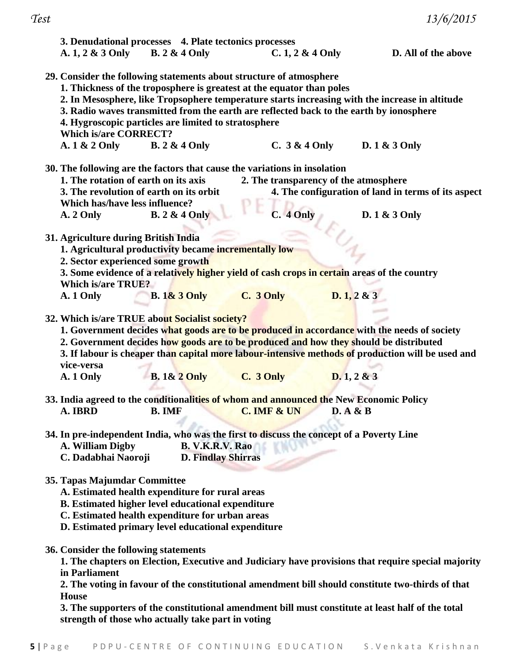|                                                                           | 3. Denudational processes 4. Plate tectonics processes   |                                                                       |                                                                                                    |                     |
|---------------------------------------------------------------------------|----------------------------------------------------------|-----------------------------------------------------------------------|----------------------------------------------------------------------------------------------------|---------------------|
| A. 1, 2 & 3 Only B. 2 & 4 Only                                            |                                                          | $C. 1, 2 & 4$ Only                                                    |                                                                                                    | D. All of the above |
| 29. Consider the following statements about structure of atmosphere       |                                                          |                                                                       |                                                                                                    |                     |
|                                                                           |                                                          | 1. Thickness of the troposphere is greatest at the equator than poles |                                                                                                    |                     |
|                                                                           |                                                          |                                                                       | 2. In Mesosphere, like Tropsophere temperature starts increasing with the increase in altitude     |                     |
|                                                                           |                                                          |                                                                       | 3. Radio waves transmitted from the earth are reflected back to the earth by ionosphere            |                     |
|                                                                           | 4. Hygroscopic particles are limited to stratosphere     |                                                                       |                                                                                                    |                     |
| <b>Which is/are CORRECT?</b>                                              |                                                          |                                                                       |                                                                                                    |                     |
| $A.1 & 2$ Only                                                            | <b>B.</b> 2 & 4 Only                                     |                                                                       | C. $3 & 4$ Only D. $1 & 3$ Only                                                                    |                     |
|                                                                           |                                                          |                                                                       |                                                                                                    |                     |
| 30. The following are the factors that cause the variations in insolation |                                                          |                                                                       |                                                                                                    |                     |
| 1. The rotation of earth on its axis                                      |                                                          |                                                                       | 2. The transparency of the atmosphere                                                              |                     |
|                                                                           | 3. The revolution of earth on its orbit                  |                                                                       | 4. The configuration of land in terms of its aspect                                                |                     |
| Which has/have less influence?                                            |                                                          |                                                                       |                                                                                                    |                     |
| A. 2 Only                                                                 | <b>B.</b> 2 & 4 Only                                     | C. 4 Only                                                             | D. 1 & 3 Only                                                                                      |                     |
|                                                                           |                                                          |                                                                       |                                                                                                    |                     |
| 31. Agriculture during British India                                      |                                                          |                                                                       |                                                                                                    |                     |
|                                                                           | 1. Agricultural productivity became incrementally low    |                                                                       |                                                                                                    |                     |
| 2. Sector experienced some growth                                         |                                                          |                                                                       |                                                                                                    |                     |
|                                                                           |                                                          |                                                                       | 3. Some evidence of a relatively higher yield of cash crops in certain areas of the country        |                     |
| Which is/are TRUE?                                                        |                                                          |                                                                       |                                                                                                    |                     |
| A. 1 Only                                                                 | <b>B.</b> 1& 3 Only <b>C.</b> 3 Only                     |                                                                       | D.1, 2 & 3                                                                                         |                     |
|                                                                           |                                                          |                                                                       |                                                                                                    |                     |
| 32. Which is/are TRUE about Socialist society?                            |                                                          |                                                                       |                                                                                                    |                     |
|                                                                           |                                                          |                                                                       | 1. Government decides what goods are to be produced in accordance with the needs of society        |                     |
|                                                                           |                                                          |                                                                       | 2. Government decides how goods are to be produced and how they should be distributed              |                     |
|                                                                           |                                                          |                                                                       | 3. If labour is cheaper than capital more labour-intensive methods of production will be used and  |                     |
| vice-versa                                                                |                                                          |                                                                       |                                                                                                    |                     |
| A. 1 Only                                                                 | <b>B.</b> 1& 2 Only <b>C.</b> 3 Only                     |                                                                       | D.1, 2 & 3                                                                                         |                     |
|                                                                           |                                                          |                                                                       |                                                                                                    |                     |
|                                                                           |                                                          |                                                                       | 33. India agreed to the conditionalities of whom and announced the New Economic Policy             |                     |
|                                                                           |                                                          | A. IBRD B. IMF C. IMF & UN D. A & B                                   |                                                                                                    |                     |
|                                                                           |                                                          |                                                                       |                                                                                                    |                     |
|                                                                           |                                                          |                                                                       | 34. In pre-independent India, who was the first to discuss the concept of a Poverty Line           |                     |
| A. William Digby                                                          | B. V.K.R.V. Rao                                          |                                                                       |                                                                                                    |                     |
| C. Dadabhai Naoroji                                                       | <b>D. Findlay Shirras</b>                                |                                                                       |                                                                                                    |                     |
|                                                                           |                                                          |                                                                       |                                                                                                    |                     |
| 35. Tapas Majumdar Committee                                              |                                                          |                                                                       |                                                                                                    |                     |
|                                                                           | A. Estimated health expenditure for rural areas          |                                                                       |                                                                                                    |                     |
|                                                                           |                                                          |                                                                       |                                                                                                    |                     |
|                                                                           | <b>B.</b> Estimated higher level educational expenditure |                                                                       |                                                                                                    |                     |
|                                                                           | C. Estimated health expenditure for urban areas          |                                                                       |                                                                                                    |                     |
|                                                                           | D. Estimated primary level educational expenditure       |                                                                       |                                                                                                    |                     |
|                                                                           |                                                          |                                                                       |                                                                                                    |                     |
| 36. Consider the following statements                                     |                                                          |                                                                       |                                                                                                    |                     |
|                                                                           |                                                          |                                                                       | 1. The chapters on Election, Executive and Judiciary have provisions that require special majority |                     |
| in Parliament                                                             |                                                          |                                                                       |                                                                                                    |                     |
|                                                                           |                                                          |                                                                       | 2. The voting in favour of the constitutional amendment bill should constitute two-thirds of that  |                     |
| <b>House</b>                                                              |                                                          |                                                                       |                                                                                                    |                     |
|                                                                           |                                                          |                                                                       | 3. The supporters of the constitutional amendment bill must constitute at least half of the total  |                     |

**strength of those who actually take part in voting**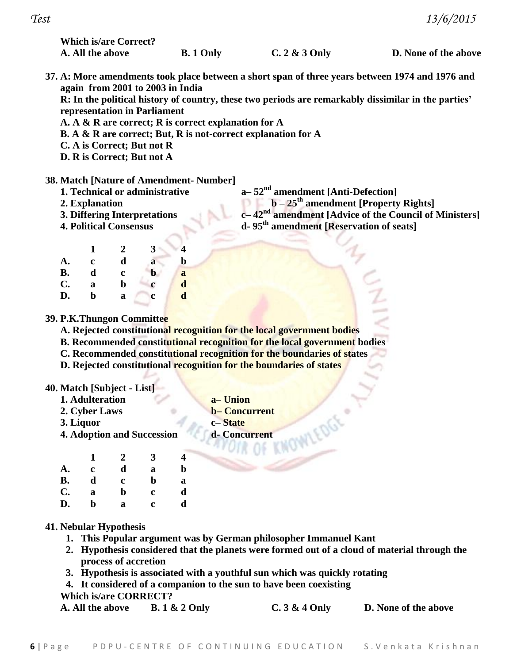**Which is/are Correct?**

**A. All the above B. 1 Only C. 2 & 3 Only D. None of the above**

**37. A: More amendments took place between a short span of three years between 1974 and 1976 and again from 2001 to 2003 in India**

**R: In the political history of country, these two periods are remarkably dissimilar in the parties' representation in Parliament**

- **A. A & R are correct; R is correct explanation for A**
- **B. A & R are correct; But, R is not-correct explanation for A**
- **C. A is Correct; But not R**
- **D. R is Correct; But not A**

## **38. Match [Nature of Amendment- Number]**

- **1. Technical or administrative a– 52nd amendment [Anti-Defection]**
	-
	-
	-
	- **2. Explanation b – 25th amendment [Property Rights] 3. Differing Interpretations c– 42nd amendment [Advice of the Council of Ministers]**
	- **4. Political Consensus d- 95th amendment [Reservation of seats]**

|           | 1 | $\boldsymbol{2}$ | 3           | 4            |
|-----------|---|------------------|-------------|--------------|
| A.        | c | d                | a           | b            |
| <b>B.</b> | d | c                | b           | $\mathbf{a}$ |
| C.        | a | b                | c           | $\mathbf d$  |
| D.        | b | a                | $\mathbf c$ | $\mathbf d$  |

## **39. P.K.Thungon Committee**

- **A. Rejected constitutional recognition for the local government bodies**
- **B. Recommended constitutional recognition for the local government bodies**
- **C. Recommended constitutional recognition for the boundaries of states**
- **D. Rejected constitutional recognition for the boundaries of states**

## **40. Match [Subject - List]**

- **1. Adulteration a– Union**
- **2. Cyber Laws b– Concurrent**
- 
- **3. Liquor c– State**
- **4. Adoption and Succession d- Concurrent**

|                | 1 | 2 | 3           | 4 |
|----------------|---|---|-------------|---|
| A.             | c | d | a           | b |
| <b>B.</b>      | d | c | b           | a |
| $\mathbf{C}$ . | a | b | $\mathbf c$ | d |
| D.             | b | a | c           | d |

## **41. Nebular Hypothesis**

- **1. This Popular argument was by German philosopher Immanuel Kant**
- **2. Hypothesis considered that the planets were formed out of a cloud of material through the process of accretion**
- **3. Hypothesis is associated with a youthful sun which was quickly rotating**
- **4. It considered of a companion to the sun to have been coexisting**

### **Which is/are CORRECT?**

| A. All the above | <b>B.</b> 1 & 2 Only | $C.3 & 4$ Only | D. None of the above |
|------------------|----------------------|----------------|----------------------|
|------------------|----------------------|----------------|----------------------|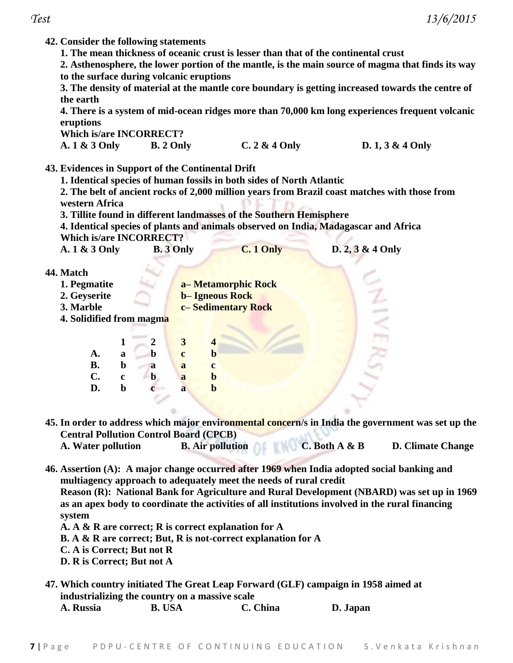**42. Consider the following statements**

**1. The mean thickness of oceanic crust is lesser than that of the continental crust**

**2. Asthenosphere, the lower portion of the mantle, is the main source of magma that finds its way to the surface during volcanic eruptions**

**3. The density of material at the mantle core boundary is getting increased towards the centre of the earth** 

**4. There is a system of mid-ocean ridges more than 70,000 km long experiences frequent volcanic eruptions**

**Which is/are INCORRECT?**

| A. 1 & 3 Only | B. 2 Only | C. $2 \& 4$ Only | D. $1, 3 \& 4$ Only |
|---------------|-----------|------------------|---------------------|
|               |           |                  |                     |

**43. Evidences in Support of the Continental Drift**

**1. Identical species of human fossils in both sides of North Atlantic**

**2. The belt of ancient rocks of 2,000 million years from Brazil coast matches with those from western Africa**

**3. Tillite found in different landmasses of the Southern Hemisphere**

**4. Identical species of plants and animals observed on India, Madagascar and Africa Which is/are INCORRECT?**

| A. 1 & 3 Only | <b>B.</b> 3 Only | C. 1 Only | $D. 2, 3 & 4$ Only |
|---------------|------------------|-----------|--------------------|
|---------------|------------------|-----------|--------------------|

- **44. Match**
	- **1. Pegmatite a– Metamorphic Rock**
	- **2. Geyserite b– Igneous Rock**
	- **3. Marble c– Sedimentary Rock**
	- **4. Solidified from magma**

|           | 1 | 2              | 3           | 4            |
|-----------|---|----------------|-------------|--------------|
| A.        | a | b              | $\mathbf c$ | $\bf{b}$     |
| <b>B.</b> | b | a              | a           | $\mathbf{c}$ |
| C.        | c | b              | a           | $\bf{b}$     |
| D.        | b | $\overline{c}$ | a           | b            |
|           |   |                |             |              |

**45. In order to address which major environmental concern/s in India the government was set up the Central Pollution Control Board (CPCB)**

- **A. Water pollution B. Air pollution C. Both A & B D. Climate Change**
- **46. Assertion (A): A major change occurred after 1969 when India adopted social banking and multiagency approach to adequately meet the needs of rural credit**

**Reason (R): National Bank for Agriculture and Rural Development (NBARD) was set up in 1969 as an apex body to coordinate the activities of all institutions involved in the rural financing system**

- **A. A & R are correct; R is correct explanation for A**
- **B. A & R are correct; But, R is not-correct explanation for A**
- **C. A is Correct; But not R**
- **D. R is Correct; But not A**
- **47. Which country initiated The Great Leap Forward (GLF) campaign in 1958 aimed at industrializing the country on a massive scale**

| A. Russia | <b>B. USA</b> | C. China | D. Japan |
|-----------|---------------|----------|----------|
|           |               |          |          |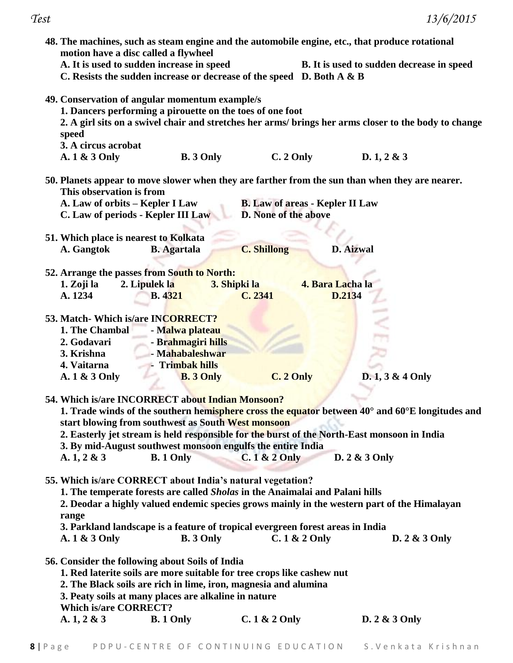|                                                                                                                   | 48. The machines, such as steam engine and the automobile engine, etc., that produce rotational<br>motion have a disc called a flywheel                                                                                                                                                  |                                                                |                            |                                                                                                                     |
|-------------------------------------------------------------------------------------------------------------------|------------------------------------------------------------------------------------------------------------------------------------------------------------------------------------------------------------------------------------------------------------------------------------------|----------------------------------------------------------------|----------------------------|---------------------------------------------------------------------------------------------------------------------|
|                                                                                                                   | A. It is used to sudden increase in speed<br>C. Resists the sudden increase or decrease of the speed D. Both A & B                                                                                                                                                                       |                                                                |                            | B. It is used to sudden decrease in speed                                                                           |
| speed<br>3. A circus acrobat<br>A. 1 & 3 Only                                                                     | 49. Conservation of angular momentum example/s<br>1. Dancers performing a pirouette on the toes of one foot<br><b>B.</b> 3 Only                                                                                                                                                          | $C. 2$ Only                                                    |                            | 2. A girl sits on a swivel chair and stretches her arms/ brings her arms closer to the body to change<br>D.1, 2 & 3 |
| This observation is from<br>A. Law of orbits – Kepler I Law                                                       | C. Law of periods - Kepler III Law                                                                                                                                                                                                                                                       | <b>B.</b> Law of areas - Kepler II Law<br>D. None of the above |                            | 50. Planets appear to move slower when they are farther from the sun than when they are nearer.                     |
| 51. Which place is nearest to Kolkata                                                                             |                                                                                                                                                                                                                                                                                          |                                                                |                            |                                                                                                                     |
| A. Gangtok                                                                                                        | <b>B.</b> Agartala                                                                                                                                                                                                                                                                       | <b>C. Shillong</b>                                             | <b>D.</b> Aizwal           |                                                                                                                     |
| 1. Zoji la<br>A. 1234                                                                                             | 52. Arrange the passes from South to North:<br>2. Lipulek la<br><b>B.</b> 4321                                                                                                                                                                                                           | 3. Shipki la<br>C. 2341                                        | 4. Bara Lacha la<br>D.2134 |                                                                                                                     |
| 53. Match- Which is/are INCORRECT?<br>1. The Chambal<br>2. Godavari<br>3. Krishna<br>4. Vaitarna<br>A. 1 & 3 Only | - Malwa plateau<br>- Brahmagiri hills<br>- Mahabaleshwar<br>Trimbak hills<br><b>B.</b> 3 Only                                                                                                                                                                                            | C. 2 Only                                                      |                            | $D. 1, 3 & 4$ Only                                                                                                  |
| A. $1, 2 \& 3$                                                                                                    | 54. Which is/are INCORRECT about Indian Monsoon?<br>start blowing from southwest as South West monsoon<br>2. Easterly jet stream is held responsible for the burst of the North-East monsoon in India<br>3. By mid-August southwest monsoon engulfs the entire India<br><b>B.</b> 1 Only | $C.1 & 2$ Only                                                 |                            | 1. Trade winds of the southern hemisphere cross the equator between 40° and 60°E longitudes and<br>D. 2 & 3 Only    |
| range<br>A. 1 & 3 Only                                                                                            | 55. Which is/are CORRECT about India's natural vegetation?<br>1. The temperate forests are called Sholas in the Anaimalai and Palani hills<br>3. Parkland landscape is a feature of tropical evergreen forest areas in India<br><b>B.</b> 3 Only                                         | $C.1 & 2$ Only                                                 |                            | 2. Deodar a highly valued endemic species grows mainly in the western part of the Himalayan<br>D. 2 & 3 Only        |
| <b>Which is/are CORRECT?</b>                                                                                      | 56. Consider the following about Soils of India<br>1. Red laterite soils are more suitable for tree crops like cashew nut<br>2. The Black soils are rich in lime, iron, magnesia and alumina<br>3. Peaty soils at many places are alkaline in nature                                     |                                                                |                            |                                                                                                                     |
| A. $1, 2 \& 3$                                                                                                    | <b>B.</b> 1 Only                                                                                                                                                                                                                                                                         | $C.1 & 2$ Only                                                 |                            | D. 2 & 3 Only                                                                                                       |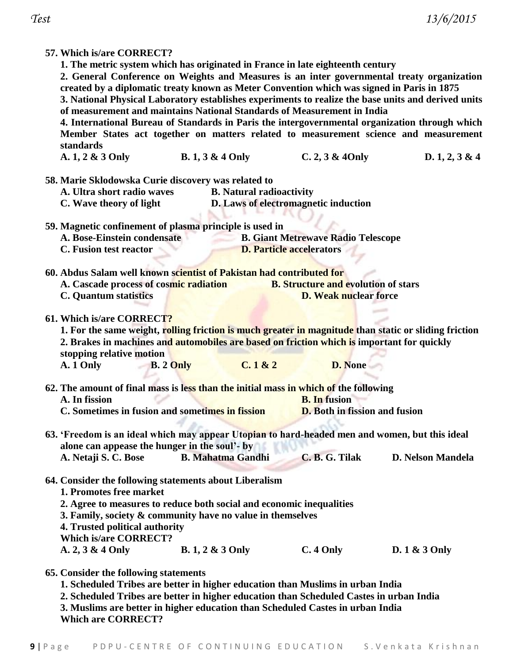| 57. Which is/are CORRECT?                                                                             |                                                                                            |                                            |                          |  |  |  |  |  |  |
|-------------------------------------------------------------------------------------------------------|--------------------------------------------------------------------------------------------|--------------------------------------------|--------------------------|--|--|--|--|--|--|
| 1. The metric system which has originated in France in late eighteenth century                        |                                                                                            |                                            |                          |  |  |  |  |  |  |
| 2. General Conference on Weights and Measures is an inter governmental treaty organization            |                                                                                            |                                            |                          |  |  |  |  |  |  |
|                                                                                                       | created by a diplomatic treaty known as Meter Convention which was signed in Paris in 1875 |                                            |                          |  |  |  |  |  |  |
| 3. National Physical Laboratory establishes experiments to realize the base units and derived units   |                                                                                            |                                            |                          |  |  |  |  |  |  |
| of measurement and maintains National Standards of Measurement in India                               |                                                                                            |                                            |                          |  |  |  |  |  |  |
|                                                                                                       |                                                                                            |                                            |                          |  |  |  |  |  |  |
| 4. International Bureau of Standards in Paris the intergovernmental organization through which        |                                                                                            |                                            |                          |  |  |  |  |  |  |
| Member States act together on matters related to measurement science and measurement                  |                                                                                            |                                            |                          |  |  |  |  |  |  |
| standards                                                                                             |                                                                                            |                                            |                          |  |  |  |  |  |  |
| A. 1, 2 & 3 Only                                                                                      | <b>B.</b> 1, 3 & 4 Only                                                                    | C. 2, 3 & 40nly                            | D. 1, 2, 3 & 4           |  |  |  |  |  |  |
| 58. Marie Sklodowska Curie discovery was related to                                                   |                                                                                            |                                            |                          |  |  |  |  |  |  |
| A. Ultra short radio waves                                                                            | <b>B.</b> Natural radioactivity                                                            |                                            |                          |  |  |  |  |  |  |
|                                                                                                       |                                                                                            |                                            |                          |  |  |  |  |  |  |
| C. Wave theory of light                                                                               |                                                                                            | D. Laws of electromagnetic induction       |                          |  |  |  |  |  |  |
|                                                                                                       |                                                                                            |                                            |                          |  |  |  |  |  |  |
| 59. Magnetic confinement of plasma principle is used in                                               |                                                                                            |                                            |                          |  |  |  |  |  |  |
| A. Bose-Einstein condensate                                                                           |                                                                                            | <b>B. Giant Metrewave Radio Telescope</b>  |                          |  |  |  |  |  |  |
| C. Fusion test reactor                                                                                |                                                                                            | <b>D. Particle accelerators</b>            |                          |  |  |  |  |  |  |
| 60. Abdus Salam well known scientist of Pakistan had contributed for                                  |                                                                                            |                                            |                          |  |  |  |  |  |  |
|                                                                                                       |                                                                                            | <b>B. Structure and evolution of stars</b> |                          |  |  |  |  |  |  |
| A. Cascade process of cosmic radiation                                                                |                                                                                            |                                            |                          |  |  |  |  |  |  |
| <b>C.</b> Quantum statistics                                                                          |                                                                                            | <b>D. Weak nuclear force</b>               |                          |  |  |  |  |  |  |
| 61. Which is/are CORRECT?                                                                             |                                                                                            |                                            |                          |  |  |  |  |  |  |
|                                                                                                       |                                                                                            |                                            |                          |  |  |  |  |  |  |
| 1. For the same weight, rolling friction is much greater in magnitude than static or sliding friction |                                                                                            |                                            |                          |  |  |  |  |  |  |
| 2. Brakes in machines and automobiles are based on friction which is important for quickly            |                                                                                            |                                            |                          |  |  |  |  |  |  |
| stopping relative motion                                                                              |                                                                                            |                                            |                          |  |  |  |  |  |  |
| <b>B.</b> 2 Only<br>A. 1 Only                                                                         | C.1 & 2                                                                                    | <b>D.</b> None                             |                          |  |  |  |  |  |  |
|                                                                                                       |                                                                                            |                                            |                          |  |  |  |  |  |  |
| 62. The amount of final mass is less than the initial mass in which of the following                  |                                                                                            |                                            |                          |  |  |  |  |  |  |
| A. In fission                                                                                         |                                                                                            | <b>B.</b> In fusion                        |                          |  |  |  |  |  |  |
| C. Sometimes in fusion and sometimes in fission                                                       |                                                                                            | <b>D.</b> Both in fission and fusion       |                          |  |  |  |  |  |  |
|                                                                                                       |                                                                                            |                                            |                          |  |  |  |  |  |  |
| 63. 'Freedom is an ideal which may appear Utopian to hard-headed men and women, but this ideal        |                                                                                            |                                            |                          |  |  |  |  |  |  |
| alone can appease the hunger in the soul'- by                                                         |                                                                                            |                                            |                          |  |  |  |  |  |  |
|                                                                                                       |                                                                                            | C. B. G. Tilak                             | <b>D. Nelson Mandela</b> |  |  |  |  |  |  |
| A. Netaji S. C. Bose                                                                                  | <b>B. Mahatma Gandhi</b>                                                                   |                                            |                          |  |  |  |  |  |  |
|                                                                                                       |                                                                                            |                                            |                          |  |  |  |  |  |  |
| 64. Consider the following statements about Liberalism                                                |                                                                                            |                                            |                          |  |  |  |  |  |  |
| 1. Promotes free market                                                                               |                                                                                            |                                            |                          |  |  |  |  |  |  |
| 2. Agree to measures to reduce both social and economic inequalities                                  |                                                                                            |                                            |                          |  |  |  |  |  |  |
| 3. Family, society & community have no value in themselves                                            |                                                                                            |                                            |                          |  |  |  |  |  |  |
| 4. Trusted political authority                                                                        |                                                                                            |                                            |                          |  |  |  |  |  |  |
| <b>Which is/are CORRECT?</b>                                                                          |                                                                                            |                                            |                          |  |  |  |  |  |  |
| A. $2, 3 \& 4$ Only                                                                                   | <b>B.</b> 1, 2 & 3 Only                                                                    | $C.4$ Only                                 | D. $1 \& 3$ Only         |  |  |  |  |  |  |
|                                                                                                       |                                                                                            |                                            |                          |  |  |  |  |  |  |
| 65. Consider the following statements                                                                 |                                                                                            |                                            |                          |  |  |  |  |  |  |
| 1. Scheduled Tribes are better in higher education than Muslims in urban India                        |                                                                                            |                                            |                          |  |  |  |  |  |  |
|                                                                                                       |                                                                                            |                                            |                          |  |  |  |  |  |  |

- 
- **2. Scheduled Tribes are better in higher education than Scheduled Castes in urban India**
- **3. Muslims are better in higher education than Scheduled Castes in urban India Which are CORRECT?**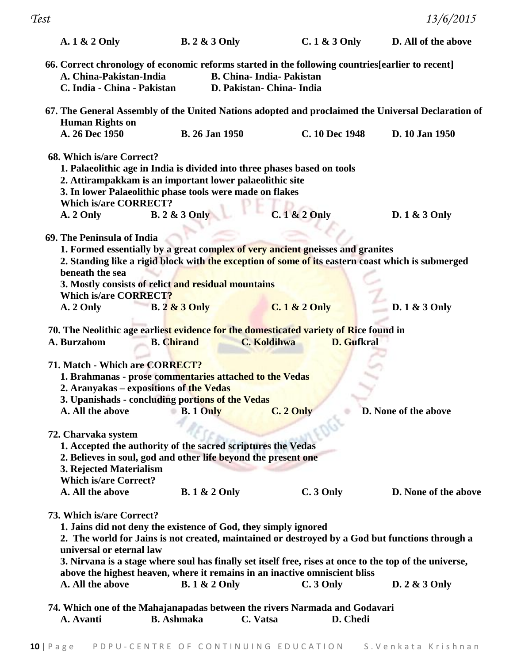| A. 1 & 2 Only                                                                                        | <b>B.</b> 2 & 3 Only                                                                                                                                                                                                                                                                                       |                                                               | $C.1 & 3$ Only           | D. All of the above                                                                                                                                                                                                         |
|------------------------------------------------------------------------------------------------------|------------------------------------------------------------------------------------------------------------------------------------------------------------------------------------------------------------------------------------------------------------------------------------------------------------|---------------------------------------------------------------|--------------------------|-----------------------------------------------------------------------------------------------------------------------------------------------------------------------------------------------------------------------------|
| A. China-Pakistan-India<br>C. India - China - Pakistan                                               | 66. Correct chronology of economic reforms started in the following countries[earlier to recent]                                                                                                                                                                                                           | <b>B. China-India-Pakistan</b><br>D. Pakistan - China - India |                          |                                                                                                                                                                                                                             |
|                                                                                                      |                                                                                                                                                                                                                                                                                                            |                                                               |                          | 67. The General Assembly of the United Nations adopted and proclaimed the Universal Declaration of                                                                                                                          |
| <b>Human Rights on</b><br>A. 26 Dec 1950                                                             | <b>B.</b> 26 Jan 1950                                                                                                                                                                                                                                                                                      |                                                               | C. 10 Dec 1948           | D. 10 Jan 1950                                                                                                                                                                                                              |
| 68. Which is/are Correct?<br><b>Which is/are CORRECT?</b><br>A. 2 Only<br>69. The Peninsula of India | 1. Palaeolithic age in India is divided into three phases based on tools<br>2. Attirampakkam is an important lower palaeolithic site<br>3. In lower Palaeolithic phase tools were made on flakes<br><b>B.</b> 2 & 3 Only<br>1. Formed essentially by a great complex of very ancient gneisses and granites |                                                               | $C.1 & 2$ Only           | D. $1 \& 3$ Only<br>2. Standing like a rigid block with the exception of some of its eastern coast which is submerged                                                                                                       |
| beneath the sea<br><b>Which is/are CORRECT?</b>                                                      | 3. Mostly consists of relict and residual mountains                                                                                                                                                                                                                                                        |                                                               |                          |                                                                                                                                                                                                                             |
| A. 2 Only                                                                                            | <b>B.</b> 2 & 3 Only                                                                                                                                                                                                                                                                                       |                                                               | <b>C. 1 &amp; 2 Only</b> | D. 1 & 3 Only                                                                                                                                                                                                               |
| A. Burzahom                                                                                          | 70. The Neolithic age earliest evidence for the domesticated variety of Rice found in<br><b>B.</b> Chirand                                                                                                                                                                                                 | <b>C. Koldihwa</b>                                            | <b>D.</b> Gufkral        |                                                                                                                                                                                                                             |
| 71. Match - Which are CORRECT?                                                                       | 1. Brahmanas - prose commentaries attached to the Vedas<br>2. Aranyakas – expositions of the Vedas<br>3. Upanishads - concluding portions of the Vedas<br>A. All the above B. 1 Only                                                                                                                       |                                                               | C. 2 Only                | D. None of the above                                                                                                                                                                                                        |
| 72. Charvaka system<br>3. Rejected Materialism<br><b>Which is/are Correct?</b>                       | 1. Accepted the authority of the sacred scriptures the Vedas<br>2. Believes in soul, god and other life beyond the present one                                                                                                                                                                             |                                                               |                          |                                                                                                                                                                                                                             |
| A. All the above                                                                                     | <b>B.</b> 1 & 2 Only                                                                                                                                                                                                                                                                                       |                                                               | $C.3$ Only               | D. None of the above                                                                                                                                                                                                        |
| 73. Which is/are Correct?<br>universal or eternal law<br>A. All the above                            | 1. Jains did not deny the existence of God, they simply ignored<br>above the highest heaven, where it remains in an inactive omniscient bliss<br><b>B.</b> 1 & 2 Only                                                                                                                                      |                                                               | C. 3 Only                | 2. The world for Jains is not created, maintained or destroyed by a God but functions through a<br>3. Nirvana is a stage where soul has finally set itself free, rises at once to the top of the universe,<br>D. 2 & 3 Only |
|                                                                                                      | 74. Which one of the Mahajanapadas between the rivers Narmada and Godavari                                                                                                                                                                                                                                 |                                                               |                          |                                                                                                                                                                                                                             |
| A. Avanti                                                                                            | <b>B.</b> Ashmaka                                                                                                                                                                                                                                                                                          | C. Vatsa                                                      | D. Chedi                 |                                                                                                                                                                                                                             |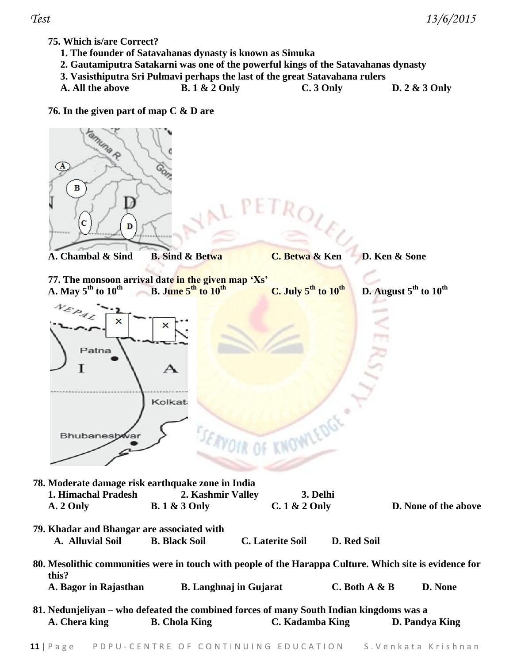## **75. Which is/are Correct?**

- **1. The founder of Satavahanas dynasty is known as Simuka**
- **2. Gautamiputra Satakarni was one of the powerful kings of the Satavahanas dynasty**
- **3. Vasisthiputra Sri Pulmavi perhaps the last of the great Satavahana rulers**
- **A. All the above B. 1 & 2 Only C. 3 Only D. 2 & 3 Only**

## **76. In the given part of map C & D are**

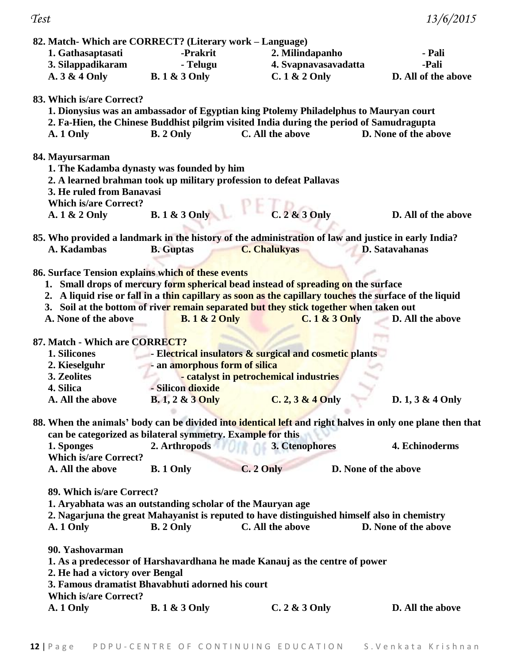| 82. Match-Which are CORRECT? (Literary work – Language)    |                               |                                                                                                                                                                                                       |                                                                                                            |
|------------------------------------------------------------|-------------------------------|-------------------------------------------------------------------------------------------------------------------------------------------------------------------------------------------------------|------------------------------------------------------------------------------------------------------------|
| 1. Gathasaptasati                                          | -Prakrit                      | 2. Milindapanho                                                                                                                                                                                       | - Pali                                                                                                     |
| 3. Silappadikaram                                          | - Telugu                      | 4. Svapnavasavadatta                                                                                                                                                                                  | -Pali                                                                                                      |
| A. 3 & 4 Only                                              | <b>B.</b> 1 & 3 Only          | $C.1 & 2$ Only                                                                                                                                                                                        | D. All of the above                                                                                        |
| 83. Which is/are Correct?<br>A. 1 Only                     | <b>B.</b> 2 Only              | 1. Dionysius was an ambassador of Egyptian king Ptolemy Philadelphus to Mauryan court<br>2. Fa-Hien, the Chinese Buddhist pilgrim visited India during the period of Samudragupta<br>C. All the above | D. None of the above                                                                                       |
| 84. Mayursarman                                            |                               |                                                                                                                                                                                                       |                                                                                                            |
| 1. The Kadamba dynasty was founded by him                  |                               |                                                                                                                                                                                                       |                                                                                                            |
|                                                            |                               | 2. A learned brahman took up military profession to defeat Pallavas                                                                                                                                   |                                                                                                            |
| 3. He ruled from Banavasi                                  |                               |                                                                                                                                                                                                       |                                                                                                            |
| <b>Which is/are Correct?</b>                               |                               |                                                                                                                                                                                                       |                                                                                                            |
| A. 1 & 2 Only                                              | <b>B.</b> 1 & 3 Only          | $C.2 & 3$ Only                                                                                                                                                                                        | D. All of the above                                                                                        |
|                                                            |                               | 85. Who provided a landmark in the history of the administration of law and justice in early India?                                                                                                   |                                                                                                            |
| A. Kadambas                                                | <b>B.</b> Guptas              | <b>C. Chalukyas</b>                                                                                                                                                                                   | <b>D.</b> Satavahanas                                                                                      |
|                                                            |                               |                                                                                                                                                                                                       |                                                                                                            |
| 86. Surface Tension explains which of these events         |                               |                                                                                                                                                                                                       |                                                                                                            |
|                                                            |                               | 1. Small drops of mercury form spherical bead instead of spreading on the surface                                                                                                                     |                                                                                                            |
|                                                            |                               | 2. A liquid rise or fall in a thin capillary as soon as the capillary touches the surface of the liquid                                                                                               |                                                                                                            |
|                                                            |                               | 3. Soil at the bottom of river remain separated but they stick together when taken out                                                                                                                |                                                                                                            |
| A. None of the above                                       | <b>B.</b> 1 & 2 Only          | $C.1 & 3$ Only                                                                                                                                                                                        | D. All the above                                                                                           |
| 87. Match - Which are CORRECT?                             |                               |                                                                                                                                                                                                       |                                                                                                            |
| 1. Silicones                                               |                               | - Electrical insulators & surgical and cosmetic plants                                                                                                                                                |                                                                                                            |
| 2. Kieselguhr                                              | - an amorphous form of silica |                                                                                                                                                                                                       |                                                                                                            |
| 3. Zeolites                                                |                               | - catalyst in petrochemical industries                                                                                                                                                                |                                                                                                            |
| 4. Silica                                                  | - Silicon dioxide             |                                                                                                                                                                                                       |                                                                                                            |
| A. All the above                                           | <b>B.</b> 1, 2 & 3 Only       | $C. 2, 3 & 4$ Only                                                                                                                                                                                    | D. $1, 3 & 4$ Only                                                                                         |
|                                                            |                               |                                                                                                                                                                                                       |                                                                                                            |
| can be categorized as bilateral symmetry. Example for this |                               |                                                                                                                                                                                                       | 88. When the animals' body can be divided into identical left and right halves in only one plane then that |
| 1. Sponges                                                 | 2. Arthropods                 | 3. Ctenophores                                                                                                                                                                                        | 4. Echinoderms                                                                                             |
| <b>Which is/are Correct?</b>                               |                               |                                                                                                                                                                                                       |                                                                                                            |
| A. All the above                                           | <b>B.</b> 1 Only              | C. 2 Only                                                                                                                                                                                             | D. None of the above                                                                                       |
| 89. Which is/are Correct?                                  |                               |                                                                                                                                                                                                       |                                                                                                            |
| 1. Aryabhata was an outstanding scholar of the Mauryan age |                               |                                                                                                                                                                                                       |                                                                                                            |
|                                                            |                               | 2. Nagarjuna the great Mahayanist is reputed to have distinguished himself also in chemistry                                                                                                          |                                                                                                            |
| A. 1 Only                                                  | B. 2 Only                     | C. All the above                                                                                                                                                                                      | D. None of the above                                                                                       |
|                                                            |                               |                                                                                                                                                                                                       |                                                                                                            |
| 90. Yashovarman                                            |                               |                                                                                                                                                                                                       |                                                                                                            |
|                                                            |                               | 1. As a predecessor of Harshavardhana he made Kanauj as the centre of power                                                                                                                           |                                                                                                            |
| 2. He had a victory over Bengal                            |                               |                                                                                                                                                                                                       |                                                                                                            |
| 3. Famous dramatist Bhavabhuti adorned his court           |                               |                                                                                                                                                                                                       |                                                                                                            |
| <b>Which is/are Correct?</b>                               |                               |                                                                                                                                                                                                       |                                                                                                            |
| A. 1 Only                                                  | <b>B.</b> 1 & 3 Only          | $C.2 & 3$ Only                                                                                                                                                                                        | D. All the above                                                                                           |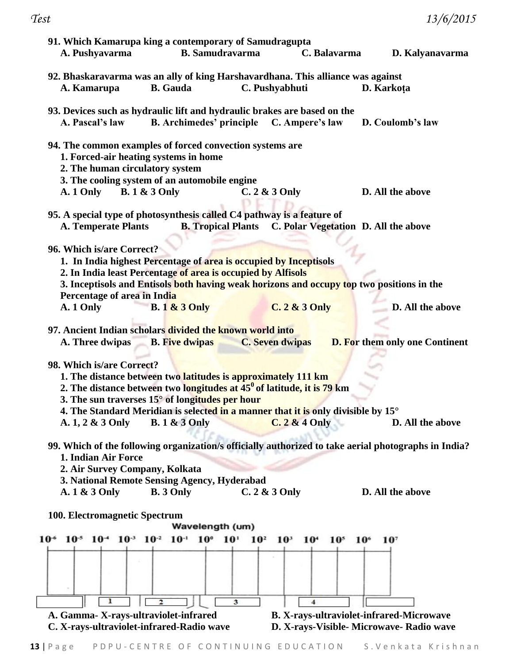*Test 13/6/2015* **91. Which Kamarupa king a contemporary of Samudragupta A. Pushyavarma B. Samudravarma C. Balavarma D. Kalyanavarma 92. Bhaskaravarma was an ally of king Harshavardhana. This alliance was against A. Kamarupa B. Gauda C. Pushyabhuti D. Karkoṭa 93. Devices such as hydraulic lift and hydraulic brakes are based on the A. Pascal's law B. Archimedes' principle C. Ampere's law D. Coulomb's law 94. The common examples of forced convection systems are 1. Forced-air heating systems in home 2. The human circulatory system 3. The cooling system of an automobile engine A. 1 Only B. 1 & 3 Only C. 2 & 3 Only D. All the above 95. A special type of photosynthesis called C4 pathway is a feature of A. Temperate Plants B. Tropical Plants C. Polar Vegetation D. All the above 96. Which is/are Correct? 1. In India highest Percentage of area is occupied by Inceptisols 2. In India least Percentage of area is occupied by Alfisols 3. Inceptisols and Entisols both having weak horizons and occupy top two positions in the Percentage of area in India A. 1 Only B. 1 & 3 Only C. 2 & 3 Only D. All the above 97. Ancient Indian scholars divided the known world into A. Three dwipas B. Five dwipas C. Seven dwipas D. For them only one Continent 98. Which is/are Correct? 1. The distance between two latitudes is approximately 111 km 2. The distance between two longitudes at 45<sup>0</sup>of latitude, it is 79 km 3. The sun traverses 15° of longitudes per hour 4. The Standard Meridian is selected in a manner that it is only divisible by 15° A. 1, 2 & 3 Only B. 1 & 3 Only C. 2 & 4 Only D. All the above 99. Which of the following organization/s officially authorized to take aerial photographs in India? 1. Indian Air Force 2. Air Survey Company, Kolkata 3. National Remote Sensing Agency, Hyderabad A. 1 & 3 Only B. 3 Only C. 2 & 3 Only D. All the above 100. Electromagnetic Spectrum** Wavelength (um) 10<sup>-6</sup> 10<sup>-5</sup> 10<sup>-4</sup> 10<sup>-3</sup> 10<sup>-2</sup> 10<sup>-1</sup> 10<sup>0</sup> 10<sup>1</sup> 10<sup>2</sup> 10<sup>3</sup> 10<sup>4</sup>  $10<sup>s</sup>$ 10<sup>6</sup> 107 ı  $\overline{\mathbf{3}}$  $\overline{\mathbf{2}}$  $\overline{\bf{4}}$ **A. Gamma- X-rays-ultraviolet-infrared B. X-rays-ultraviolet-infrared-Microwave**

**C. X-rays-ultraviolet-infrared-Radio wave D. X-rays-Visible- Microwave- Radio wave**